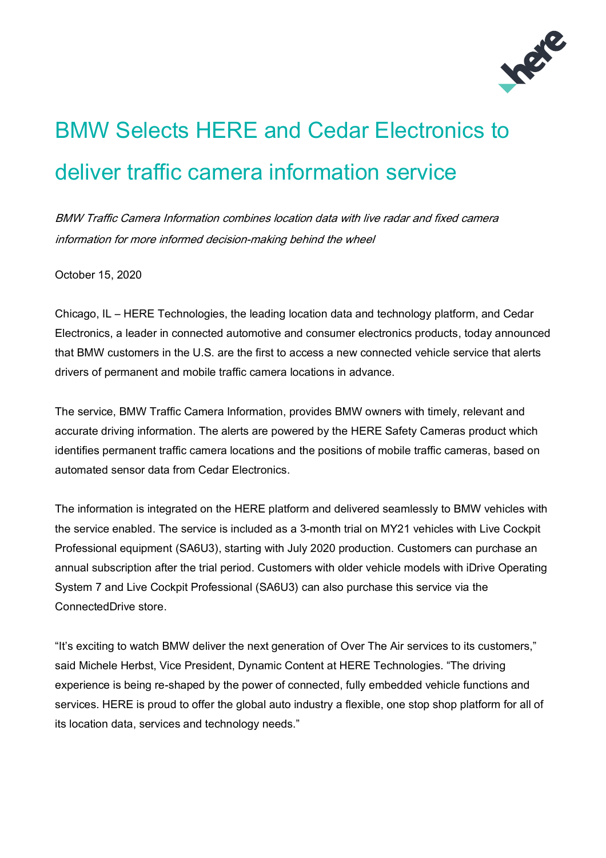

## BMW Selects HERE and Cedar Electronics to deliver traffic camera information service

BMW Traffic Camera Information combines location data with live radar and fixed camera information for more informed decision-making behind the wheel

October 15, 2020

Chicago, IL – HERE Technologies, the leading location data and technology platform, and Cedar Electronics, a leader in connected automotive and consumer electronics products, today announced that BMW customers in the U.S. are the first to access a new connected vehicle service that alerts drivers of permanent and mobile traffic camera locations in advance.

The service, BMW Traffic Camera Information, provides BMW owners with timely, relevant and accurate driving information. The alerts are powered by the HERE Safety Cameras product which identifies permanent traffic camera locations and the positions of mobile traffic cameras, based on automated sensor data from Cedar Electronics.

The information is integrated on the HERE platform and delivered seamlessly to BMW vehicles with the service enabled. The service is included as a 3-month trial on MY21 vehicles with Live Cockpit Professional equipment (SA6U3), starting with July 2020 production. Customers can purchase an annual subscription after the trial period. Customers with older vehicle models with iDrive Operating System 7 and Live Cockpit Professional (SA6U3) can also purchase this service via the ConnectedDrive store.

"It's exciting to watch BMW deliver the next generation of Over The Air services to its customers," said Michele Herbst, Vice President, Dynamic Content at HERE Technologies. "The driving experience is being re-shaped by the power of connected, fully embedded vehicle functions and services. HERE is proud to offer the global auto industry a flexible, one stop shop platform for all of its location data, services and technology needs."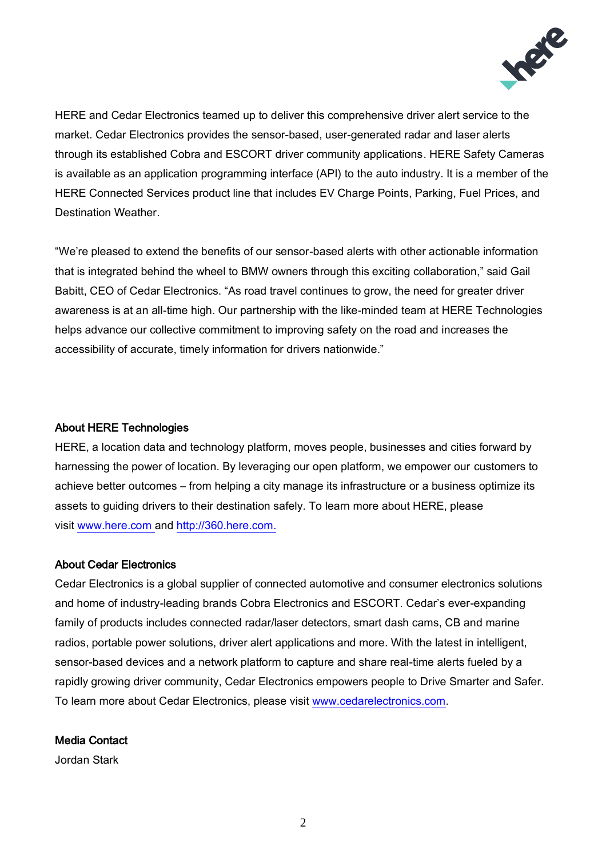

HERE and Cedar Electronics teamed up to deliver this comprehensive driver alert service to the market. Cedar Electronics provides the sensor-based, user-generated radar and laser alerts through its established Cobra and ESCORT driver community applications. HERE Safety Cameras is available as an application programming interface (API) to the auto industry. It is a member of the HERE Connected Services product line that includes EV Charge Points, Parking, Fuel Prices, and Destination Weather.

"We're pleased to extend the benefits of our sensor-based alerts with other actionable information that is integrated behind the wheel to BMW owners through this exciting collaboration," said Gail Babitt, CEO of Cedar Electronics. "As road travel continues to grow, the need for greater driver awareness is at an all-time high. Our partnership with the like-minded team at HERE Technologies helps advance our collective commitment to improving safety on the road and increases the accessibility of accurate, timely information for drivers nationwide."

## About HERE Technologies

HERE, a location data and technology platform, moves people, businesses and cities forward by harnessing the power of location. By leveraging our open platform, we empower our customers to achieve better outcomes – from helping a city manage its infrastructure or a business optimize its assets to guiding drivers to their destination safely. To learn more about HERE, please visit [www.here.com](http://www.here.com/) and [http://360.here.com.](http://360.here.com/)

## About Cedar Electronics

Cedar Electronics is a global supplier of connected automotive and consumer electronics solutions and home of industry-leading brands Cobra Electronics and ESCORT. Cedar's ever-expanding family of products includes connected radar/laser detectors, smart dash cams, CB and marine radios, portable power solutions, driver alert applications and more. With the latest in intelligent, sensor-based devices and a network platform to capture and share real-time alerts fueled by a rapidly growing driver community, Cedar Electronics empowers people to Drive Smarter and Safer. To learn more about Cedar Electronics, please visit [www.cedarelectronics.com.](https://www.cedarelectronics.com/)

## Media Contact

Jordan Stark